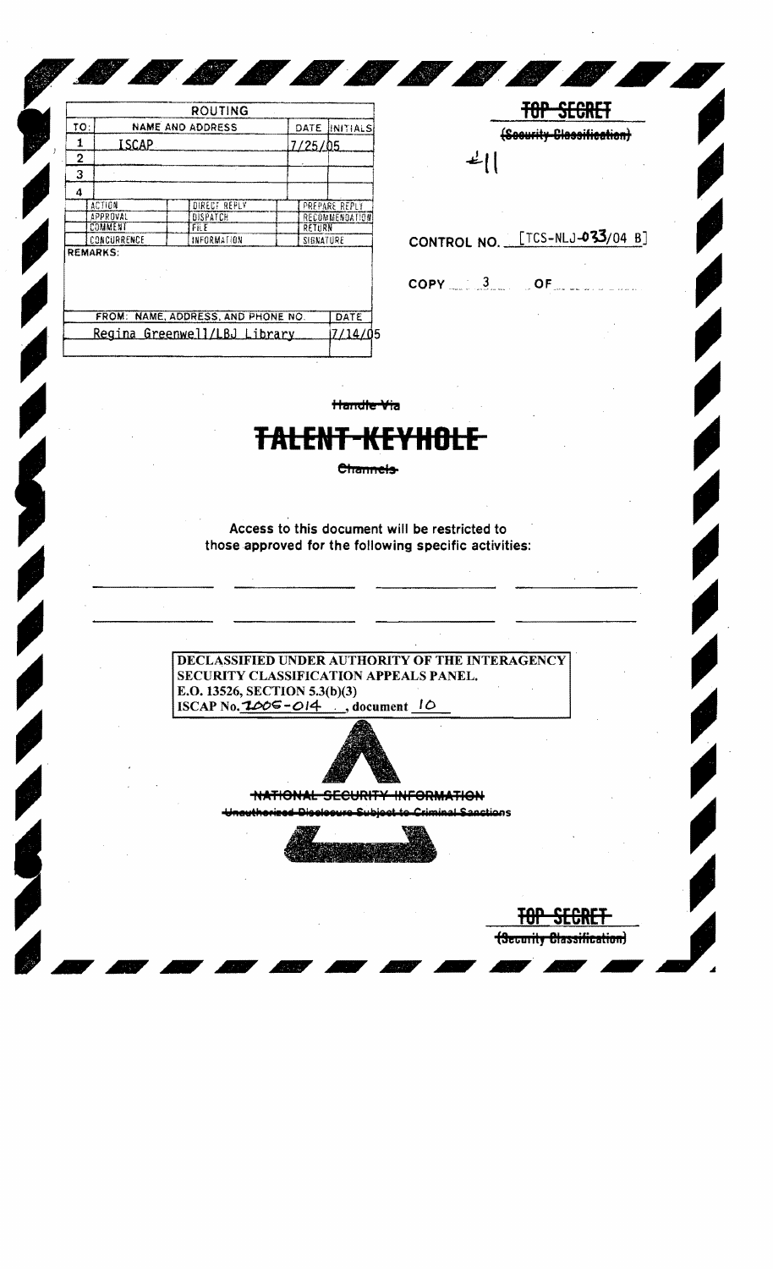|                                    |                 | ROUTING                             |         |                       |  |
|------------------------------------|-----------------|-------------------------------------|---------|-----------------------|--|
| TO:                                |                 | NAME AND ADDRESS                    | DATE    | INITIALS              |  |
| 1                                  | ISCAP           |                                     | 7/25/05 |                       |  |
| 2                                  |                 |                                     |         |                       |  |
| 3                                  |                 |                                     |         |                       |  |
| 4                                  |                 |                                     |         |                       |  |
| ACTION                             |                 | DIRECT REPLY                        |         | PREPARE REPLY         |  |
| <b>APPROVAL</b>                    |                 | DISPATCH                            |         | <b>RECOMMENDATION</b> |  |
| COMMENT                            |                 | FilE                                |         | RETURN                |  |
| CONCURRENCE                        |                 | INFORMATION                         |         | SIGNATURE             |  |
|                                    | <b>REMARKS:</b> |                                     |         |                       |  |
| FROM: NAME, ADDRESS, AND PHONE NO. |                 |                                     |         | DATE                  |  |
|                                    |                 | <u>Regina Greenwell/LBJ Library</u> |         |                       |  |

**TOP SECRET** (Soourity Classification)  $L$ 

(Security Classification)

CONTROL NO. [TCS-NLJ-033/04 B]

 $\mathsf{COPY} \qquad \qquad 3$  OF

Handle Via

**SERVICE** 

## <del>t-kl</del>

Channels-

Access to this document will be restricted to those approved for the following specific activities:

DECLASSIFIED UNDER AUTHORITY OF THE INTERAGENCY SECURITY CLASSIFICATION APPEALS PANEL. E.O. 13526, SECTION 5.3(b)(3) ISCAP No.  $1005 - 014$ , document 10



NATIONAL SECURITY INFORMATION

المونطين وسيموا to Criminal Sanctions منتا غمجتمع والسمر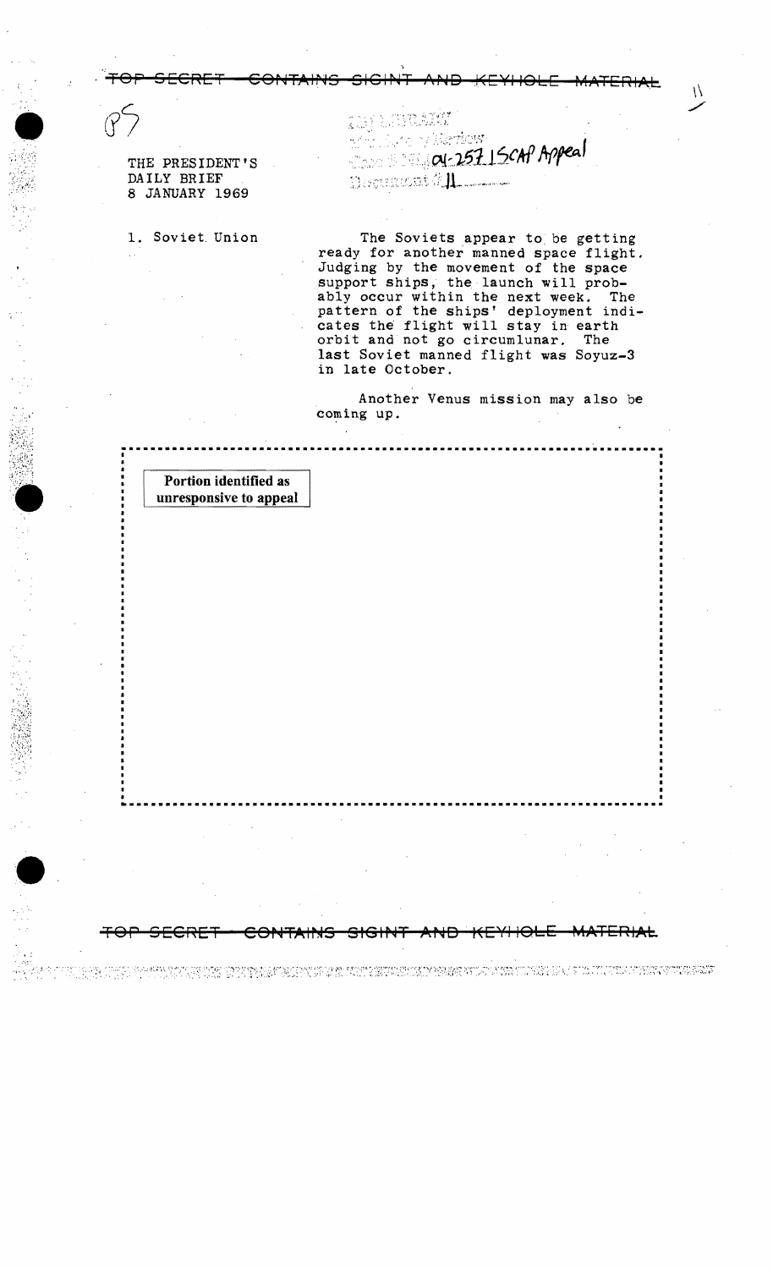THE PRESIDENT'S DAILY BRIEF 8 JANUARY 1969

•<br>•<br>"

,  $\mathcal{M}(\mathcal{C})$ *.*~\:.§~~~,i: • - >.' -~

 $\bullet$  .

:-,::<sub>1</sub> o v Berkew i  $_{\odot}$  ov-257 | SCAP Appeal The curies in  $\#$  . In the contraction

 $\mathcal{U}$ 

. TOP SECRET CONTAINS SIGINT AND KEYHOLE MATERIAL

TOP SECRET - CONTAINS SIGINT AND KEYHOLE MATERIAL

TE TE PLAN DE LA REGIONAL DE L'ARCHE CON DE L'ARCHE DE LA SANTO DE L'ALCE DE L'ANCHE L'ARCHE L'ANCHE L'ARCHE

1. Soviet Union The Soviets appear to be getting ready for another manned space flight. Judging by the movement of the space support ships, the launch will probably occur within the next week. The pattern of the ships' deployment indicates the flight will stay in earth orbit and not go circumlunar. The last Soviet manned flight was Soyuz-3 in late October.

> Another Venus mission may also be coming up.

Portion identified as unresponsive to appeal